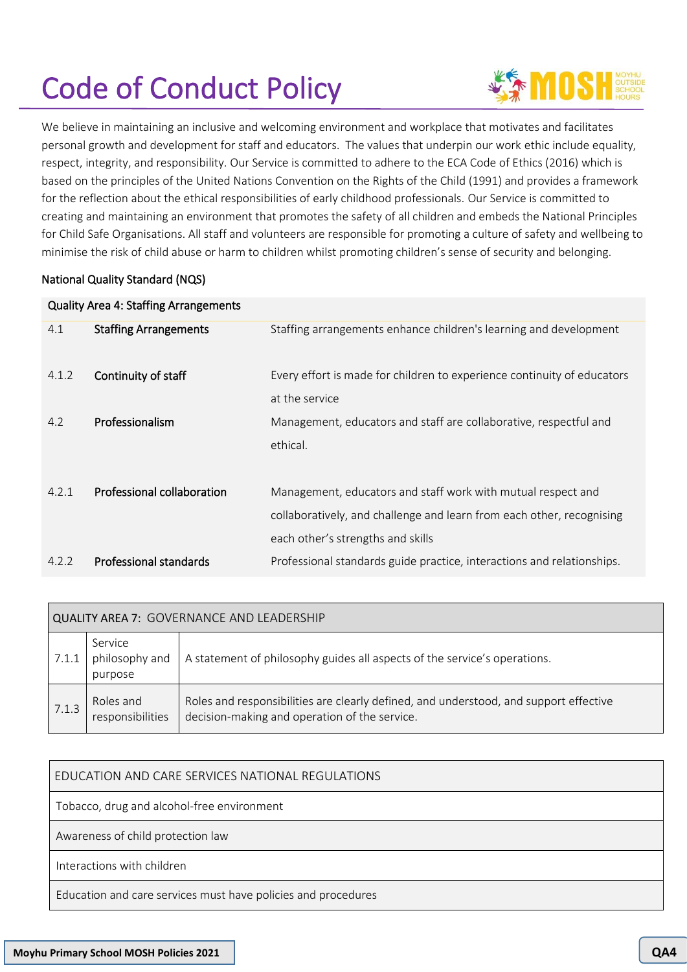# Code of Conduct Policy



We believe in maintaining an inclusive and welcoming environment and workplace that motivates and facilitates personal growth and development for staff and educators. The values that underpin our work ethic include equality, respect, integrity, and responsibility. Our Service is committed to adhere to the ECA Code of Ethics (2016) which is based on the principles of the United Nations Convention on the Rights of the Child (1991) and provides a framework for the reflection about the ethical responsibilities of early childhood professionals. Our Service is committed to creating and maintaining an environment that promotes the safety of all children and embeds the National Principles for Child Safe Organisations. All staff and volunteers are responsible for promoting a culture of safety and wellbeing to minimise the risk of child abuse or harm to children whilst promoting children's sense of security and belonging.

# National Quality Standard (NQS)

| <b>Quality Area 4: Staffing Arrangements</b> |                              |                                                                         |  |  |
|----------------------------------------------|------------------------------|-------------------------------------------------------------------------|--|--|
| 4.1                                          | <b>Staffing Arrangements</b> | Staffing arrangements enhance children's learning and development       |  |  |
| 4.1.2                                        | Continuity of staff          | Every effort is made for children to experience continuity of educators |  |  |
|                                              |                              | at the service                                                          |  |  |
| 4.2                                          | Professionalism              | Management, educators and staff are collaborative, respectful and       |  |  |
|                                              |                              | ethical.                                                                |  |  |
| 4.2.1                                        | Professional collaboration   | Management, educators and staff work with mutual respect and            |  |  |
|                                              |                              | collaboratively, and challenge and learn from each other, recognising   |  |  |
|                                              |                              | each other's strengths and skills                                       |  |  |
| 4.2.2                                        | Professional standards       | Professional standards guide practice, interactions and relationships.  |  |  |

| QUALITY AREA 7: GOVERNANCE AND LEADERSHIP |                                      |                                                                                                                                        |  |  |
|-------------------------------------------|--------------------------------------|----------------------------------------------------------------------------------------------------------------------------------------|--|--|
| 7.1.1                                     | Service<br>philosophy and<br>purpose | A statement of philosophy guides all aspects of the service's operations.                                                              |  |  |
| 7.1.3                                     | Roles and<br>responsibilities        | Roles and responsibilities are clearly defined, and understood, and support effective<br>decision-making and operation of the service. |  |  |

# EDUCATION AND CARE SERVICES NATIONAL REGULATIONS

Tobacco, drug and alcohol-free environment

Awareness of child protection law

Interactions with children

Education and care services must have policies and procedures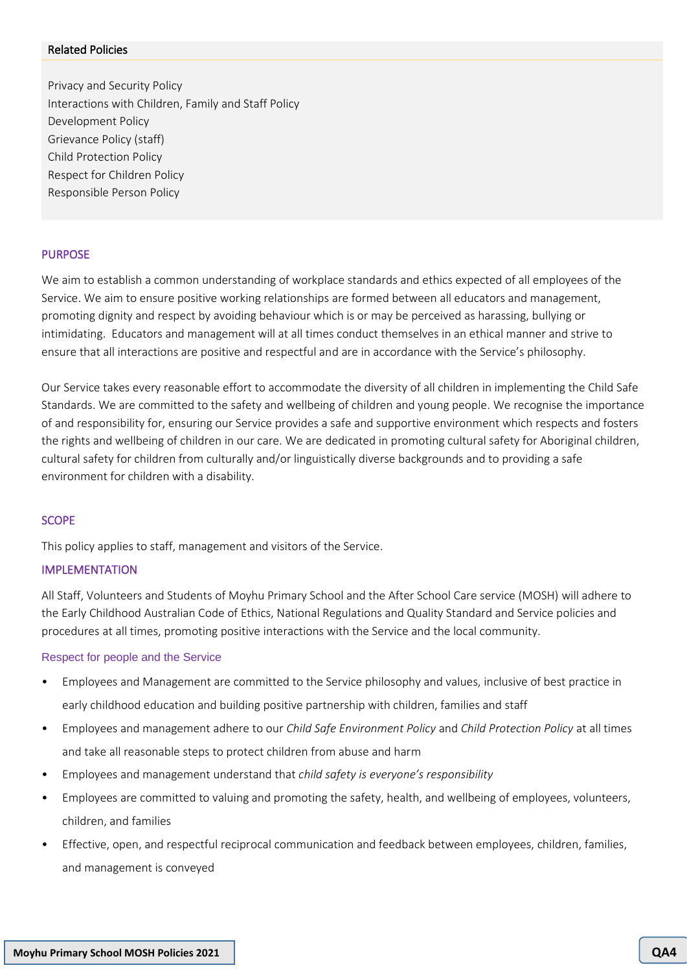#### Related Policies

Privacy and Security Policy Interactions with Children, Family and Staff Policy Development Policy Grievance Policy (staff) Child Protection Policy Respect for Children Policy Responsible Person Policy

#### PURPOSE

We aim to establish a common understanding of workplace standards and ethics expected of all employees of the Service. We aim to ensure positive working relationships are formed between all educators and management, promoting dignity and respect by avoiding behaviour which is or may be perceived as harassing, bullying or intimidating. Educators and management will at all times conduct themselves in an ethical manner and strive to ensure that all interactions are positive and respectful and are in accordance with the Service's philosophy.

Our Service takes every reasonable effort to accommodate the diversity of all children in implementing the Child Safe Standards. We are committed to the safety and wellbeing of children and young people. We recognise the importance of and responsibility for, ensuring our Service provides a safe and supportive environment which respects and fosters the rights and wellbeing of children in our care. We are dedicated in promoting cultural safety for Aboriginal children, cultural safety for children from culturally and/or linguistically diverse backgrounds and to providing a safe environment for children with a disability.

#### **SCOPE**

This policy applies to staff, management and visitors of the Service.

#### IMPLEMENTATION

All Staff, Volunteers and Students of Moyhu Primary School and the After School Care service (MOSH) will adhere to the Early Childhood Australian Code of Ethics, National Regulations and Quality Standard and Service policies and procedures at all times, promoting positive interactions with the Service and the local community.

#### Respect for people and the Service

- Employees and Management are committed to the Service philosophy and values, inclusive of best practice in early childhood education and building positive partnership with children, families and staff
- Employees and management adhere to our *Child Safe Environment Policy* and *Child Protection Policy* at all times and take all reasonable steps to protect children from abuse and harm
- Employees and management understand that *child safety is everyone's responsibility*
- Employees are committed to valuing and promoting the safety, health, and wellbeing of employees, volunteers, children, and families
- Effective, open, and respectful reciprocal communication and feedback between employees, children, families, and management is conveyed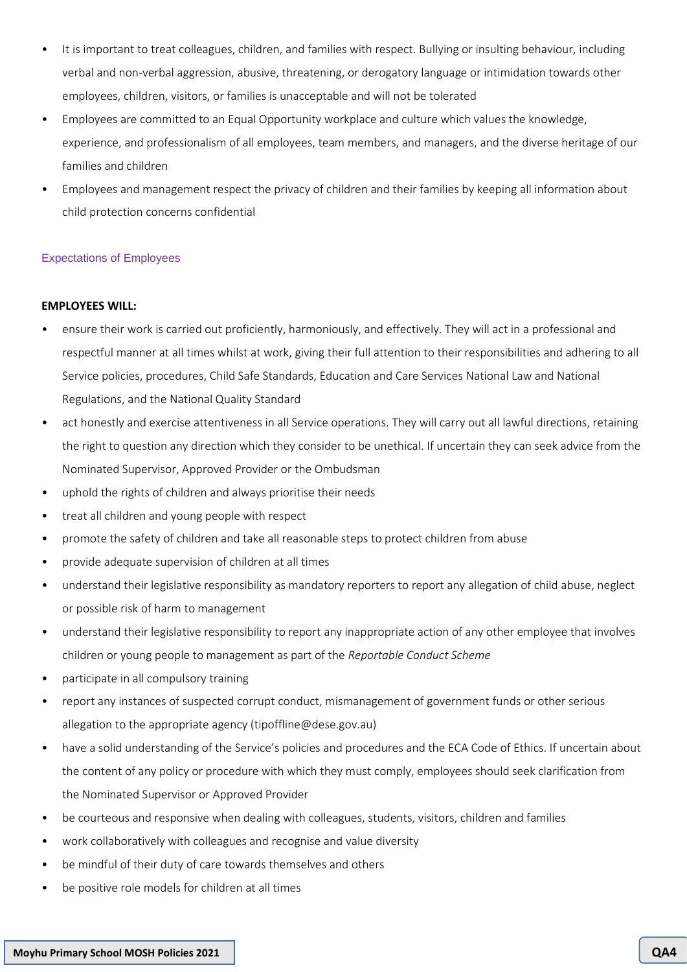- It is important to treat colleagues, children, and families with respect. Bullying or insulting behaviour, including verbal and non-verbal aggression, abusive, threatening, or derogatory language or intimidation towards other employees, children, visitors, or families is unacceptable and will not be tolerated
- Employees are committed to an Equal Opportunity workplace and culture which values the knowledge, experience, and professionalism of all employees, team members, and managers, and the diverse heritage of our families and children
- Employees and management respect the privacy of children and their families by keeping all information about child protection concerns confidential

## Expectations of Employees

## **EMPLOYEES WILL:**

- ensure their work is carried out proficiently, harmoniously, and effectively. They will act in a professional and respectful manner at all times whilst at work, giving their full attention to their responsibilities and adhering to all Service policies, procedures, Child Safe Standards, Education and Care Services National Law and National Regulations, and the National Quality Standard
- act honestly and exercise attentiveness in all Service operations. They will carry out all lawful directions, retaining the right to question any direction which they consider to be unethical. If uncertain they can seek advice from the Nominated Supervisor, Approved Provider or the Ombudsman
- uphold the rights of children and always prioritise their needs
- treat all children and young people with respect
- promote the safety of children and take all reasonable steps to protect children from abuse
- provide adequate supervision of children at all times
- understand their legislative responsibility as mandatory reporters to report any allegation of child abuse, neglect or possible risk of harm to management
- understand their legislative responsibility to report any inappropriate action of any other employee that involves children or young people to management as part of the *Reportable Conduct Scheme*
- participate in all compulsory training
- report any instances of suspected corrupt conduct, mismanagement of government funds or other serious allegation to the appropriate agency (tipoffline@dese.gov.au)
- have a solid understanding of the Service's policies and procedures and the ECA Code of Ethics. If uncertain about the content of any policy or procedure with which they must comply, employees should seek clarification from the Nominated Supervisor or Approved Provider
- be courteous and responsive when dealing with colleagues, students, visitors, children and families
- work collaboratively with colleagues and recognise and value diversity
- be mindful of their duty of care towards themselves and others
- be positive role models for children at all times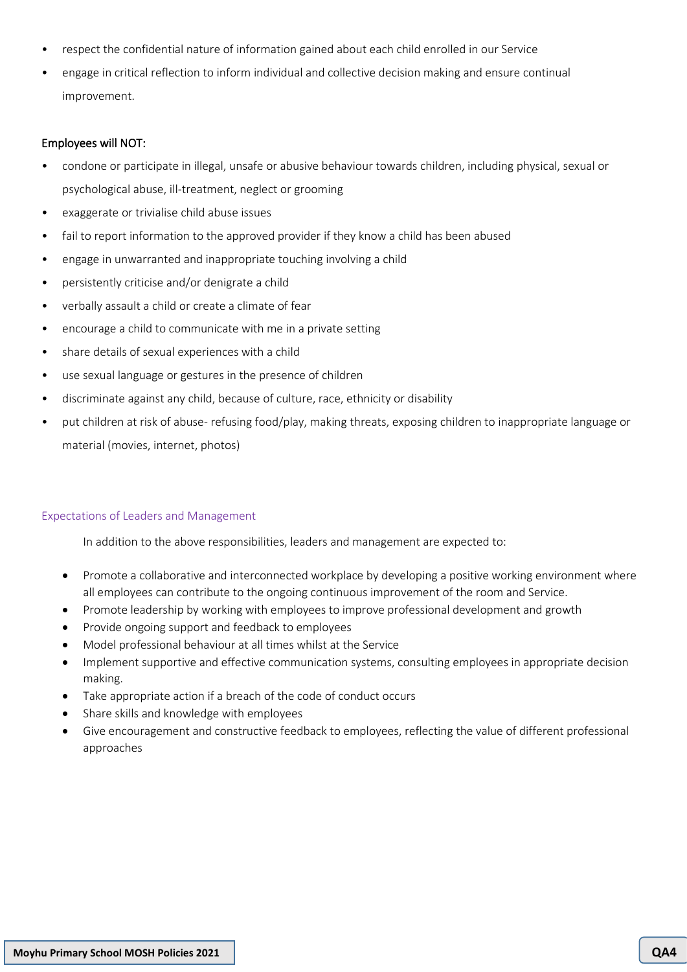- respect the confidential nature of information gained about each child enrolled in our Service
- engage in critical reflection to inform individual and collective decision making and ensure continual improvement.

## Employees will NOT:

- condone or participate in illegal, unsafe or abusive behaviour towards children, including physical, sexual or psychological abuse, ill-treatment, neglect or grooming
- exaggerate or trivialise child abuse issues
- fail to report information to the approved provider if they know a child has been abused
- engage in unwarranted and inappropriate touching involving a child
- persistently criticise and/or denigrate a child
- verbally assault a child or create a climate of fear
- encourage a child to communicate with me in a private setting
- share details of sexual experiences with a child
- use sexual language or gestures in the presence of children
- discriminate against any child, because of culture, race, ethnicity or disability
- put children at risk of abuse- refusing food/play, making threats, exposing children to inappropriate language or material (movies, internet, photos)

## Expectations of Leaders and Management

In addition to the above responsibilities, leaders and management are expected to:

- Promote a collaborative and interconnected workplace by developing a positive working environment where all employees can contribute to the ongoing continuous improvement of the room and Service.
- Promote leadership by working with employees to improve professional development and growth
- Provide ongoing support and feedback to employees
- Model professional behaviour at all times whilst at the Service
- Implement supportive and effective communication systems, consulting employees in appropriate decision making.
- Take appropriate action if a breach of the code of conduct occurs
- Share skills and knowledge with employees
- Give encouragement and constructive feedback to employees, reflecting the value of different professional approaches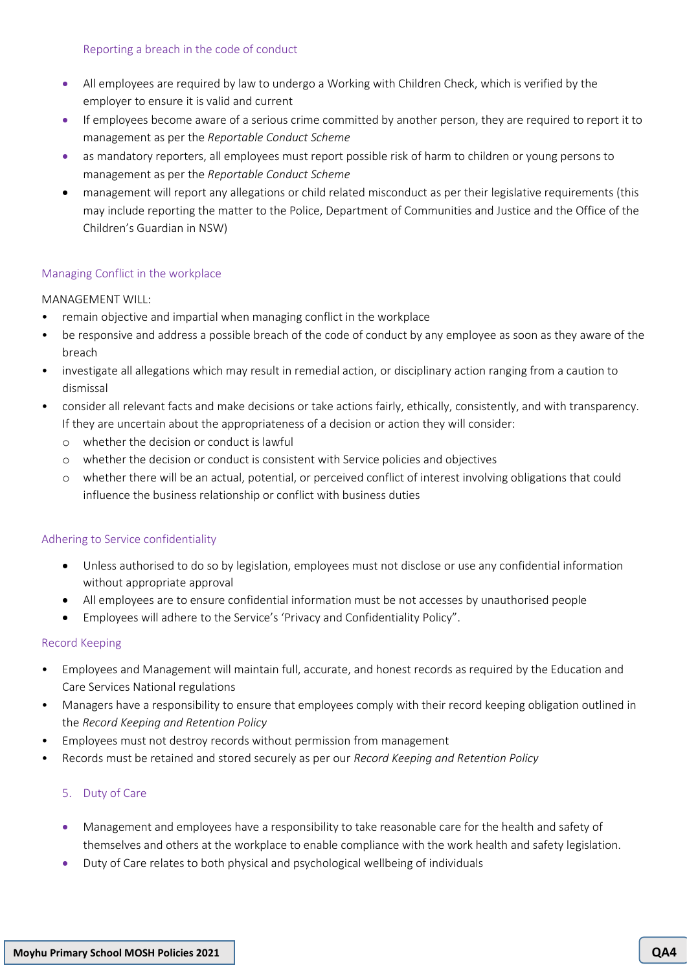## Reporting a breach in the code of conduct

- All employees are required by law to undergo a Working with Children Check, which is verified by the employer to ensure it is valid and current
- If employees become aware of a serious crime committed by another person, they are required to report it to management as per the *Reportable Conduct Scheme*
- as mandatory reporters, all employees must report possible risk of harm to children or young persons to management as per the *Reportable Conduct Scheme*
- management will report any allegations or child related misconduct as per their legislative requirements (this may include reporting the matter to the Police, Department of Communities and Justice and the Office of the Children's Guardian in NSW)

# Managing Conflict in the workplace

## MANAGEMENT WILL:

- remain objective and impartial when managing conflict in the workplace
- be responsive and address a possible breach of the code of conduct by any employee as soon as they aware of the breach
- investigate all allegations which may result in remedial action, or disciplinary action ranging from a caution to dismissal
- consider all relevant facts and make decisions or take actions fairly, ethically, consistently, and with transparency. If they are uncertain about the appropriateness of a decision or action they will consider:
	- o whether the decision or conduct is lawful
	- o whether the decision or conduct is consistent with Service policies and objectives
	- o whether there will be an actual, potential, or perceived conflict of interest involving obligations that could influence the business relationship or conflict with business duties

# Adhering to Service confidentiality

- Unless authorised to do so by legislation, employees must not disclose or use any confidential information without appropriate approval
- All employees are to ensure confidential information must be not accesses by unauthorised people
- Employees will adhere to the Service's 'Privacy and Confidentiality Policy".

# Record Keeping

- Employees and Management will maintain full, accurate, and honest records as required by the Education and Care Services National regulations
- Managers have a responsibility to ensure that employees comply with their record keeping obligation outlined in the *Record Keeping and Retention Policy*
- Employees must not destroy records without permission from management
- Records must be retained and stored securely as per our *Record Keeping and Retention Policy*

# 5. Duty of Care

- Management and employees have a responsibility to take reasonable care for the health and safety of themselves and others at the workplace to enable compliance with the work health and safety legislation.
- Duty of Care relates to both physical and psychological wellbeing of individuals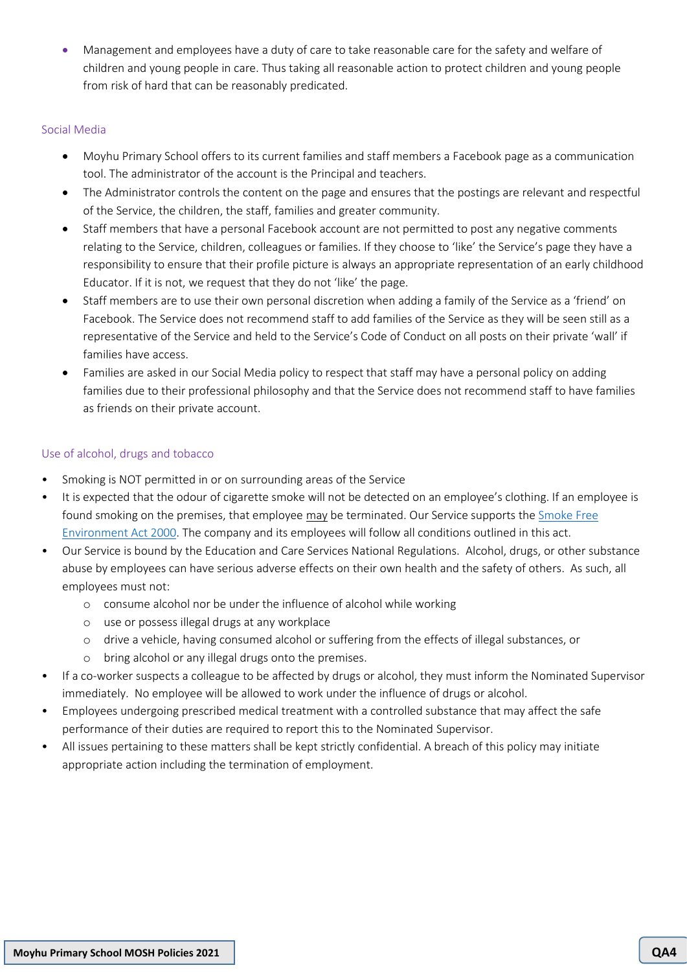• Management and employees have a duty of care to take reasonable care for the safety and welfare of children and young people in care. Thus taking all reasonable action to protect children and young people from risk of hard that can be reasonably predicated.

## Social Media

- Moyhu Primary School offers to its current families and staff members a Facebook page as a communication tool. The administrator of the account is the Principal and teachers.
- The Administrator controls the content on the page and ensures that the postings are relevant and respectful of the Service, the children, the staff, families and greater community.
- Staff members that have a personal Facebook account are not permitted to post any negative comments relating to the Service, children, colleagues or families. If they choose to 'like' the Service's page they have a responsibility to ensure that their profile picture is always an appropriate representation of an early childhood Educator. If it is not, we request that they do not 'like' the page.
- Staff members are to use their own personal discretion when adding a family of the Service as a 'friend' on Facebook. The Service does not recommend staff to add families of the Service as they will be seen still as a representative of the Service and held to the Service's Code of Conduct on all posts on their private 'wall' if families have access.
- Families are asked in our Social Media policy to respect that staff may have a personal policy on adding families due to their professional philosophy and that the Service does not recommend staff to have families as friends on their private account.

# Use of alcohol, drugs and tobacco

- Smoking is NOT permitted in or on surrounding areas of the Service
- It is expected that the odour of cigarette smoke will not be detected on an employee's clothing. If an employee is found smoking on the premises, that employee may be terminated. Our Service supports th[e Smoke Free](http://www.health.nsw.gov.au/tobacco/Pages/smokefree-legislation.aspx)  [Environment Act 2000.](http://www.health.nsw.gov.au/tobacco/Pages/smokefree-legislation.aspx) The company and its employees will follow all conditions outlined in this act.
- Our Service is bound by the Education and Care Services National Regulations. Alcohol, drugs, or other substance abuse by employees can have serious adverse effects on their own health and the safety of others. As such, all employees must not:
	- o consume alcohol nor be under the influence of alcohol while working
	- o use or possess illegal drugs at any workplace
	- o drive a vehicle, having consumed alcohol or suffering from the effects of illegal substances, or
	- o bring alcohol or any illegal drugs onto the premises.
- If a co-worker suspects a colleague to be affected by drugs or alcohol, they must inform the Nominated Supervisor immediately. No employee will be allowed to work under the influence of drugs or alcohol.
- Employees undergoing prescribed medical treatment with a controlled substance that may affect the safe performance of their duties are required to report this to the Nominated Supervisor.
- All issues pertaining to these matters shall be kept strictly confidential. A breach of this policy may initiate appropriate action including the termination of employment.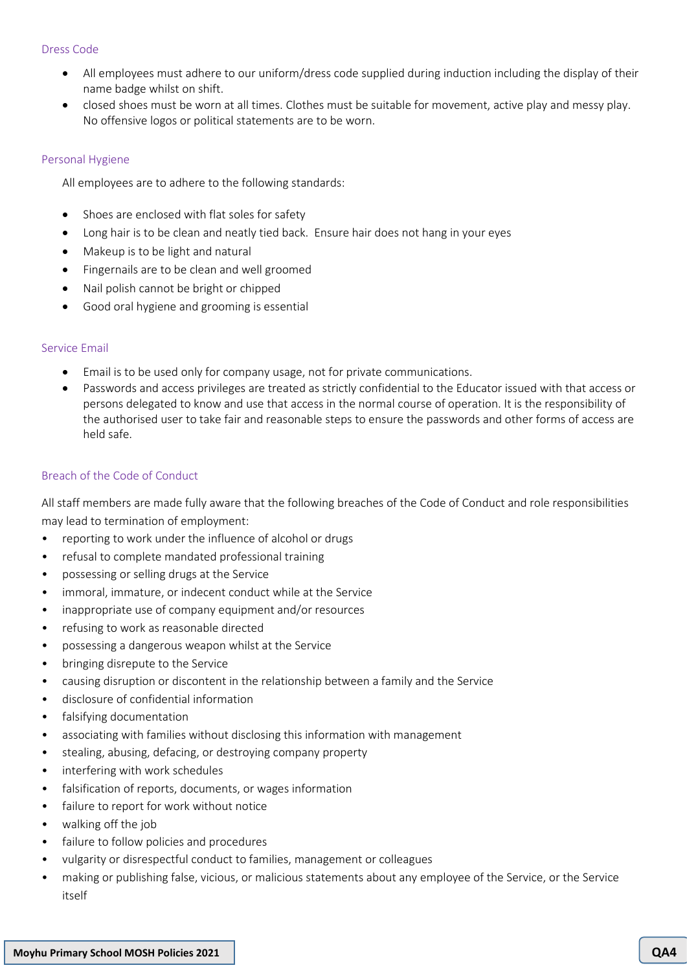## Dress Code

- All employees must adhere to our uniform/dress code supplied during induction including the display of their name badge whilst on shift.
- closed shoes must be worn at all times. Clothes must be suitable for movement, active play and messy play. No offensive logos or political statements are to be worn.

#### Personal Hygiene

All employees are to adhere to the following standards:

- Shoes are enclosed with flat soles for safety
- Long hair is to be clean and neatly tied back. Ensure hair does not hang in your eyes
- Makeup is to be light and natural
- Fingernails are to be clean and well groomed
- Nail polish cannot be bright or chipped
- Good oral hygiene and grooming is essential

#### Service Email

- Email is to be used only for company usage, not for private communications.
- Passwords and access privileges are treated as strictly confidential to the Educator issued with that access or persons delegated to know and use that access in the normal course of operation. It is the responsibility of the authorised user to take fair and reasonable steps to ensure the passwords and other forms of access are held safe.

## Breach of the Code of Conduct

All staff members are made fully aware that the following breaches of the Code of Conduct and role responsibilities may lead to termination of employment:

- reporting to work under the influence of alcohol or drugs
- refusal to complete mandated professional training
- possessing or selling drugs at the Service
- immoral, immature, or indecent conduct while at the Service
- inappropriate use of company equipment and/or resources
- refusing to work as reasonable directed
- possessing a dangerous weapon whilst at the Service
- bringing disrepute to the Service
- causing disruption or discontent in the relationship between a family and the Service
- disclosure of confidential information
- falsifying documentation
- associating with families without disclosing this information with management
- stealing, abusing, defacing, or destroying company property
- interfering with work schedules
- falsification of reports, documents, or wages information
- failure to report for work without notice
- walking off the job
- failure to follow policies and procedures
- vulgarity or disrespectful conduct to families, management or colleagues
- making or publishing false, vicious, or malicious statements about any employee of the Service, or the Service itself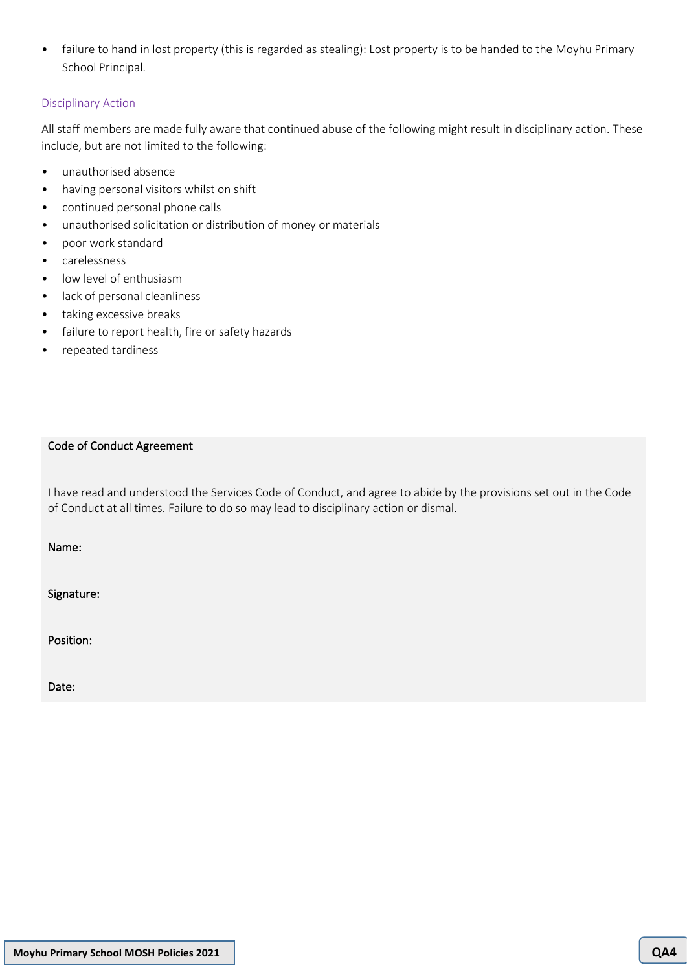• failure to hand in lost property (this is regarded as stealing): Lost property is to be handed to the Moyhu Primary School Principal.

# Disciplinary Action

All staff members are made fully aware that continued abuse of the following might result in disciplinary action. These include, but are not limited to the following:

- unauthorised absence
- having personal visitors whilst on shift
- continued personal phone calls
- unauthorised solicitation or distribution of money or materials
- poor work standard
- carelessness
- low level of enthusiasm
- lack of personal cleanliness
- taking excessive breaks
- failure to report health, fire or safety hazards
- repeated tardiness

## Code of Conduct Agreement

I have read and understood the Services Code of Conduct, and agree to abide by the provisions set out in the Code of Conduct at all times. Failure to do so may lead to disciplinary action or dismal.

Name:

Signature:

Position:

Date: